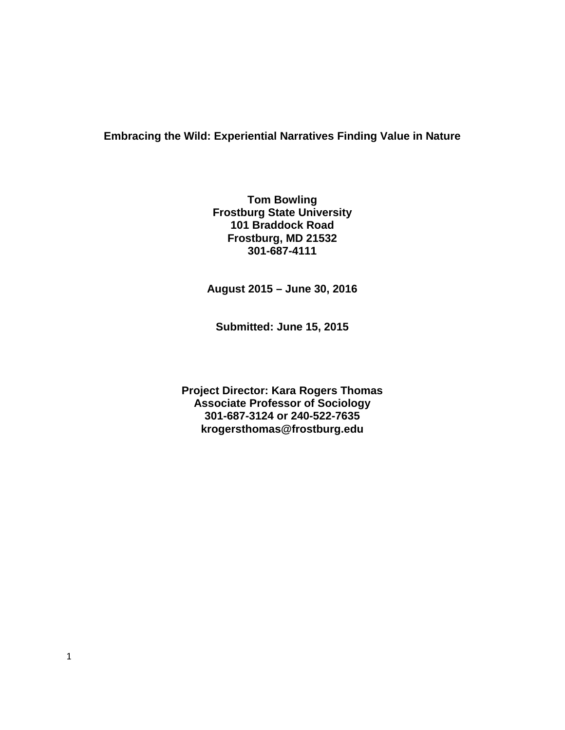# **Embracing the Wild: Experiential Narratives Finding Value in Nature**

**Tom Bowling Frostburg State University 101 Braddock Road Frostburg, MD 21532 301-687-4111**

**August 2015 – June 30, 2016**

**Submitted: June 15, 2015**

**Project Director: Kara Rogers Thomas Associate Professor of Sociology 301-687-3124 or 240-522-7635 krogersthomas@frostburg.edu**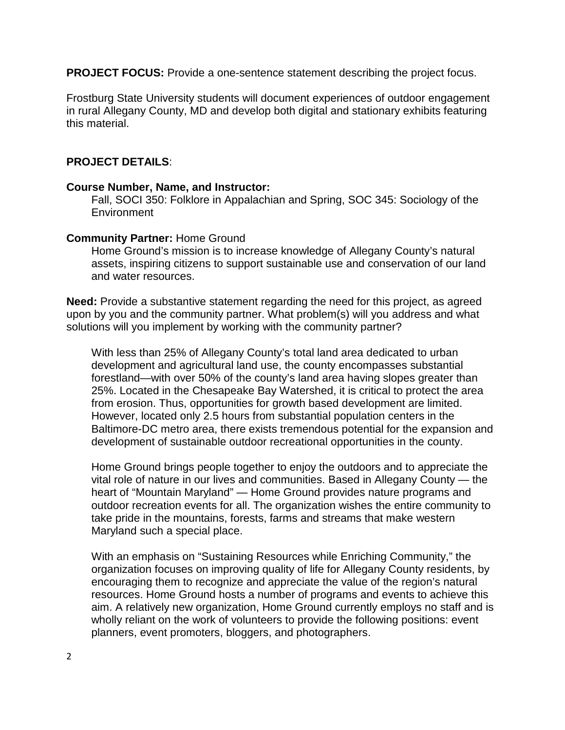**PROJECT FOCUS:** Provide a one-sentence statement describing the project focus.

Frostburg State University students will document experiences of outdoor engagement in rural Allegany County, MD and develop both digital and stationary exhibits featuring this material.

## **PROJECT DETAILS**:

#### **Course Number, Name, and Instructor:**

Fall, SOCI 350: Folklore in Appalachian and Spring, SOC 345: Sociology of the **Environment** 

#### **Community Partner:** Home Ground

Home Ground's mission is to increase knowledge of Allegany County's natural assets, inspiring citizens to support sustainable use and conservation of our land and water resources.

**Need:** Provide a substantive statement regarding the need for this project, as agreed upon by you and the community partner. What problem(s) will you address and what solutions will you implement by working with the community partner?

With less than 25% of Allegany County's total land area dedicated to urban development and agricultural land use, the county encompasses substantial forestland—with over 50% of the county's land area having slopes greater than 25%. Located in the Chesapeake Bay Watershed, it is critical to protect the area from erosion. Thus, opportunities for growth based development are limited. However, located only 2.5 hours from substantial population centers in the Baltimore-DC metro area, there exists tremendous potential for the expansion and development of sustainable outdoor recreational opportunities in the county.

Home Ground brings people together to enjoy the outdoors and to appreciate the vital role of nature in our lives and communities. Based in Allegany County — the heart of "Mountain Maryland" — Home Ground provides nature programs and outdoor recreation events for all. The organization wishes the entire community to take pride in the mountains, forests, farms and streams that make western Maryland such a special place.

With an emphasis on "Sustaining Resources while Enriching Community," the organization focuses on improving quality of life for Allegany County residents, by encouraging them to recognize and appreciate the value of the region's natural resources. Home Ground hosts a number of programs and events to achieve this aim. A relatively new organization, Home Ground currently employs no staff and is wholly reliant on the work of volunteers to provide the following positions: event planners, event promoters, bloggers, and photographers.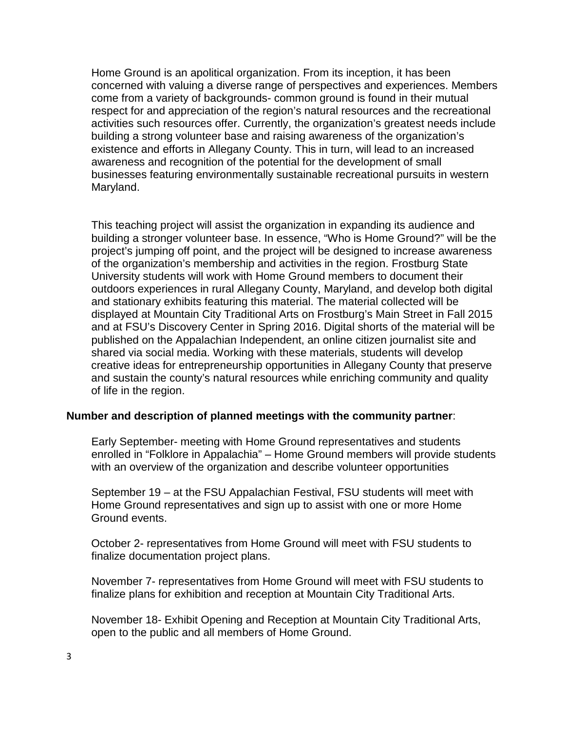Home Ground is an apolitical organization. From its inception, it has been concerned with valuing a diverse range of perspectives and experiences. Members come from a variety of backgrounds- common ground is found in their mutual respect for and appreciation of the region's natural resources and the recreational activities such resources offer. Currently, the organization's greatest needs include building a strong volunteer base and raising awareness of the organization's existence and efforts in Allegany County. This in turn, will lead to an increased awareness and recognition of the potential for the development of small businesses featuring environmentally sustainable recreational pursuits in western Maryland.

This teaching project will assist the organization in expanding its audience and building a stronger volunteer base. In essence, "Who is Home Ground?" will be the project's jumping off point, and the project will be designed to increase awareness of the organization's membership and activities in the region. Frostburg State University students will work with Home Ground members to document their outdoors experiences in rural Allegany County, Maryland, and develop both digital and stationary exhibits featuring this material. The material collected will be displayed at Mountain City Traditional Arts on Frostburg's Main Street in Fall 2015 and at FSU's Discovery Center in Spring 2016. Digital shorts of the material will be published on the Appalachian Independent, an online citizen journalist site and shared via social media. Working with these materials, students will develop creative ideas for entrepreneurship opportunities in Allegany County that preserve and sustain the county's natural resources while enriching community and quality of life in the region.

#### **Number and description of planned meetings with the community partner**:

Early September- meeting with Home Ground representatives and students enrolled in "Folklore in Appalachia" – Home Ground members will provide students with an overview of the organization and describe volunteer opportunities

September 19 – at the FSU Appalachian Festival, FSU students will meet with Home Ground representatives and sign up to assist with one or more Home Ground events.

October 2- representatives from Home Ground will meet with FSU students to finalize documentation project plans.

November 7- representatives from Home Ground will meet with FSU students to finalize plans for exhibition and reception at Mountain City Traditional Arts.

November 18- Exhibit Opening and Reception at Mountain City Traditional Arts, open to the public and all members of Home Ground.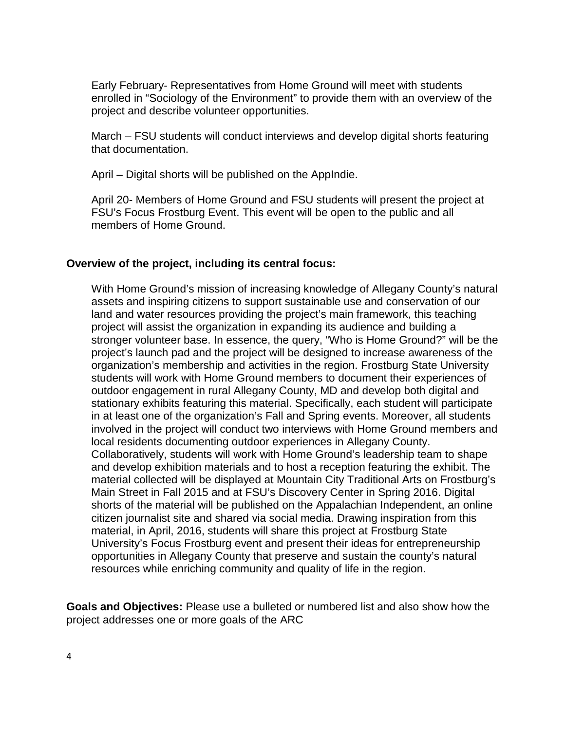Early February- Representatives from Home Ground will meet with students enrolled in "Sociology of the Environment" to provide them with an overview of the project and describe volunteer opportunities.

March – FSU students will conduct interviews and develop digital shorts featuring that documentation.

April – Digital shorts will be published on the AppIndie.

April 20- Members of Home Ground and FSU students will present the project at FSU's Focus Frostburg Event. This event will be open to the public and all members of Home Ground.

# **Overview of the project, including its central focus:**

With Home Ground's mission of increasing knowledge of Allegany County's natural assets and inspiring citizens to support sustainable use and conservation of our land and water resources providing the project's main framework, this teaching project will assist the organization in expanding its audience and building a stronger volunteer base. In essence, the query, "Who is Home Ground?" will be the project's launch pad and the project will be designed to increase awareness of the organization's membership and activities in the region. Frostburg State University students will work with Home Ground members to document their experiences of outdoor engagement in rural Allegany County, MD and develop both digital and stationary exhibits featuring this material. Specifically, each student will participate in at least one of the organization's Fall and Spring events. Moreover, all students involved in the project will conduct two interviews with Home Ground members and local residents documenting outdoor experiences in Allegany County. Collaboratively, students will work with Home Ground's leadership team to shape and develop exhibition materials and to host a reception featuring the exhibit. The material collected will be displayed at Mountain City Traditional Arts on Frostburg's Main Street in Fall 2015 and at FSU's Discovery Center in Spring 2016. Digital shorts of the material will be published on the Appalachian Independent, an online citizen journalist site and shared via social media. Drawing inspiration from this material, in April, 2016, students will share this project at Frostburg State University's Focus Frostburg event and present their ideas for entrepreneurship opportunities in Allegany County that preserve and sustain the county's natural resources while enriching community and quality of life in the region.

**Goals and Objectives:** Please use a bulleted or numbered list and also show how the project addresses one or more goals of the ARC